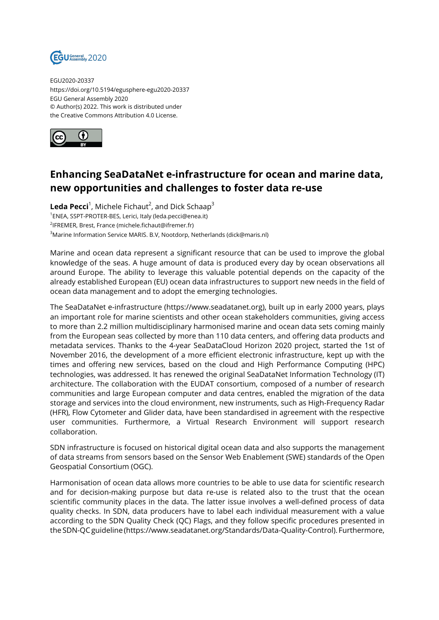

EGU2020-20337 https://doi.org/10.5194/egusphere-egu2020-20337 EGU General Assembly 2020 © Author(s) 2022. This work is distributed under the Creative Commons Attribution 4.0 License.



## **Enhancing SeaDataNet e-infrastructure for ocean and marine data, new opportunities and challenges to foster data re-use**

 $\sf{Leda \, Pecci}^1$ , Michele Fichaut $^2$ , and Dick Schaap $^3$  ENEA, SSPT-PROTER-BES, Lerici, Italy (leda.pecci@enea.it) IFREMER, Brest, France (michele.fichaut@ifremer.fr) Marine Information Service MARIS. B.V, Nootdorp, Netherlands (dick@maris.nl)

Marine and ocean data represent a significant resource that can be used to improve the global knowledge of the seas. A huge amount of data is produced every day by ocean observations all around Europe. The ability to leverage this valuable potential depends on the capacity of the already established European (EU) ocean data infrastructures to support new needs in the field of ocean data management and to adopt the emerging technologies.

The SeaDataNet e-infrastructure (https://www.seadatanet.org), built up in early 2000 years, plays an important role for marine scientists and other ocean stakeholders communities, giving access to more than 2.2 million multidisciplinary harmonised marine and ocean data sets coming mainly from the European seas collected by more than 110 data centers, and offering data products and metadata services. Thanks to the 4-year SeaDataCloud Horizon 2020 project, started the 1st of November 2016, the development of a more efficient electronic infrastructure, kept up with the times and offering new services, based on the cloud and High Performance Computing (HPC) technologies, was addressed. It has renewed the original SeaDataNet Information Technology (IT) architecture. The collaboration with the EUDAT consortium, composed of a number of research communities and large European computer and data centres, enabled the migration of the data storage and services into the cloud environment, new instruments, such as High-Frequency Radar (HFR), Flow Cytometer and Glider data, have been standardised in agreement with the respective user communities. Furthermore, a Virtual Research Environment will support research collaboration.

SDN infrastructure is focused on historical digital ocean data and also supports the management of data streams from sensors based on the Sensor Web Enablement (SWE) standards of the Open Geospatial Consortium (OGC).

Harmonisation of ocean data allows more countries to be able to use data for scientific research and for decision-making purpose but data re-use is related also to the trust that the ocean scientific community places in the data. The latter issue involves a well-defined process of data quality checks. In SDN, data producers have to label each individual measurement with a value according to the SDN Quality Check (QC) Flags, and they follow specific procedures presented in the SDN-QC guideline (https://www.seadatanet.org/Standards/Data-Quality-Control). Furthermore,